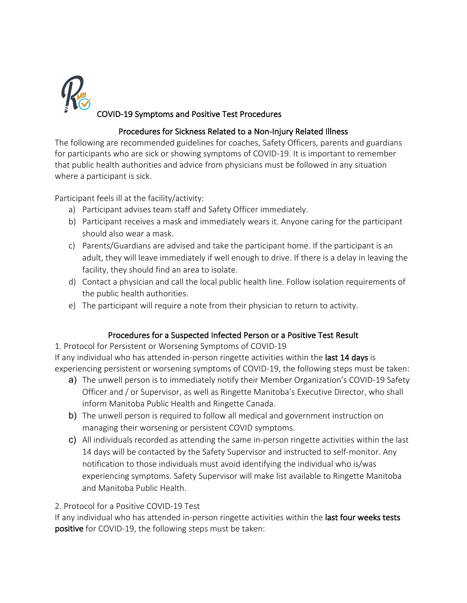

## COVID-19 Symptoms and Positive Test Procedures

## Procedures for Sickness Related to a Non-Injury Related Illness

The following are recommended guidelines for coaches, Safety Officers, parents and guardians for participants who are sick or showing symptoms of COVID-19. It is important to remember that public health authorities and advice from physicians must be followed in any situation where a participant is sick.

Participant feels ill at the facility/activity:

- a) Participant advises team staff and Safety Officer immediately.
- b) Participant receives a mask and immediately wears it. Anyone caring for the participant should also wear a mask.
- c) Parents/Guardians are advised and take the participant home. If the participant is an adult, they will leave immediately if well enough to drive. If there is a delay in leaving the facility, they should find an area to isolate.
- d) Contact a physician and call the local public health line. Follow isolation requirements of the public health authorities.
- e) The participant will require a note from their physician to return to activity.

## Procedures for a Suspected Infected Person or a Positive Test Result

1. Protocol for Persistent or Worsening Symptoms of COVID-19

If any individual who has attended in-person ringette activities within the last 14 days is experiencing persistent or worsening symptoms of COVID-19, the following steps must be taken:

- a) The unwell person is to immediately notify their Member Organization's COVID-19 Safety Officer and / or Supervisor, as well as Ringette Manitoba's Executive Director, who shall inform Manitoba Public Health and Ringette Canada.
- b) The unwell person is required to follow all medical and government instruction on managing their worsening or persistent COVID symptoms.
- c) All individuals recorded as attending the same in-person ringette activities within the last 14 days will be contacted by the Safety Supervisor and instructed to self-monitor. Any notification to those individuals must avoid identifying the individual who is/was experiencing symptoms. Safety Supervisor will make list available to Ringette Manitoba and Manitoba Public Health.

## 2. Protocol for a Positive COVID-19 Test

If any individual who has attended in-person ringette activities within the last four weeks tests positive for COVID-19, the following steps must be taken: